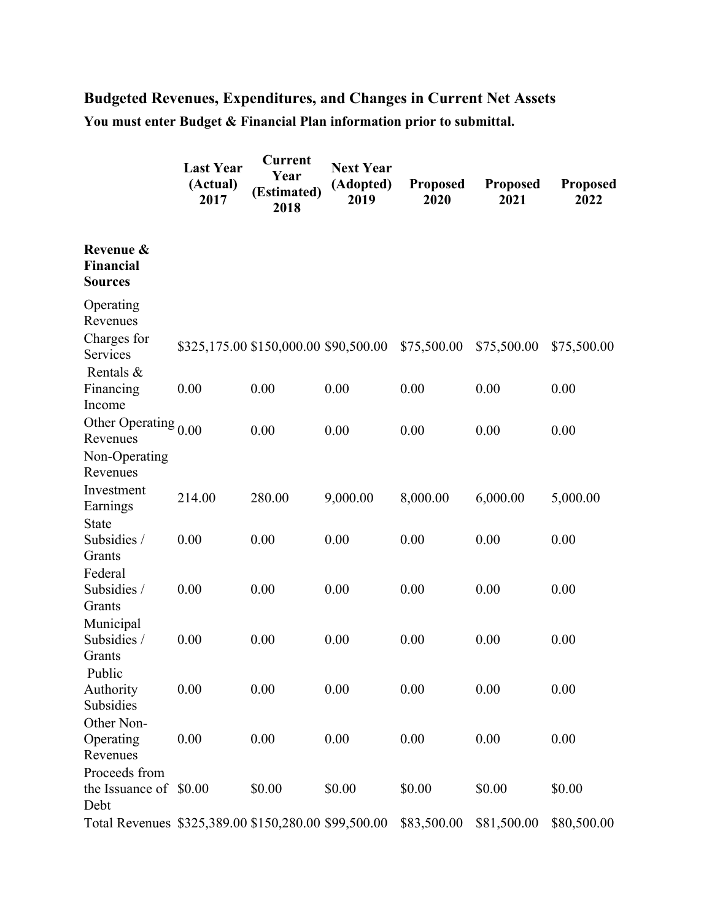## **Budgeted Revenues, Expenditures, and Changes in Current Net Assets You must enter Budget & Financial Plan information prior to submittal.**

|                                                      | <b>Last Year</b><br>(Actual)<br>2017 | <b>Current</b><br>Year<br>(Estimated)<br>2018 | <b>Next Year</b><br>(Adopted)<br>2019 | Proposed<br>2020 | <b>Proposed</b><br>2021 | <b>Proposed</b><br>2022 |
|------------------------------------------------------|--------------------------------------|-----------------------------------------------|---------------------------------------|------------------|-------------------------|-------------------------|
| Revenue &<br><b>Financial</b><br><b>Sources</b>      |                                      |                                               |                                       |                  |                         |                         |
| Operating<br>Revenues                                |                                      |                                               |                                       |                  |                         |                         |
| Charges for<br>Services<br>Rentals &                 |                                      | \$325,175.00 \$150,000.00 \$90,500.00         |                                       | \$75,500.00      | \$75,500.00             | \$75,500.00             |
| Financing<br>Income                                  | 0.00                                 | 0.00                                          | 0.00                                  | 0.00             | 0.00                    | 0.00                    |
| Other Operating $_{0.00}$<br>Revenues                |                                      | 0.00                                          | 0.00                                  | 0.00             | 0.00                    | 0.00                    |
| Non-Operating<br>Revenues                            |                                      |                                               |                                       |                  |                         |                         |
| Investment<br>Earnings                               | 214.00                               | 280.00                                        | 9,000.00                              | 8,000.00         | 6,000.00                | 5,000.00                |
| <b>State</b><br>Subsidies /<br>Grants                | 0.00                                 | 0.00                                          | 0.00                                  | 0.00             | 0.00                    | 0.00                    |
| Federal<br>Subsidies /<br>Grants                     | 0.00                                 | 0.00                                          | 0.00                                  | 0.00             | 0.00                    | 0.00                    |
| Municipal<br>Subsidies /<br>Grants                   | 0.00                                 | 0.00                                          | 0.00                                  | 0.00             | 0.00                    | 0.00                    |
| Public<br>Authority<br>Subsidies                     | 0.00                                 | 0.00                                          | 0.00                                  | 0.00             | 0.00                    | 0.00                    |
| Other Non-<br>Operating<br>Revenues                  | 0.00                                 | 0.00                                          | 0.00                                  | 0.00             | 0.00                    | 0.00                    |
| Proceeds from<br>the Issuance of \$0.00<br>Debt      |                                      | \$0.00                                        | \$0.00                                | \$0.00           | \$0.00                  | \$0.00                  |
| Total Revenues \$325,389.00 \$150,280.00 \$99,500.00 |                                      |                                               |                                       | \$83,500.00      | \$81,500.00             | \$80,500.00             |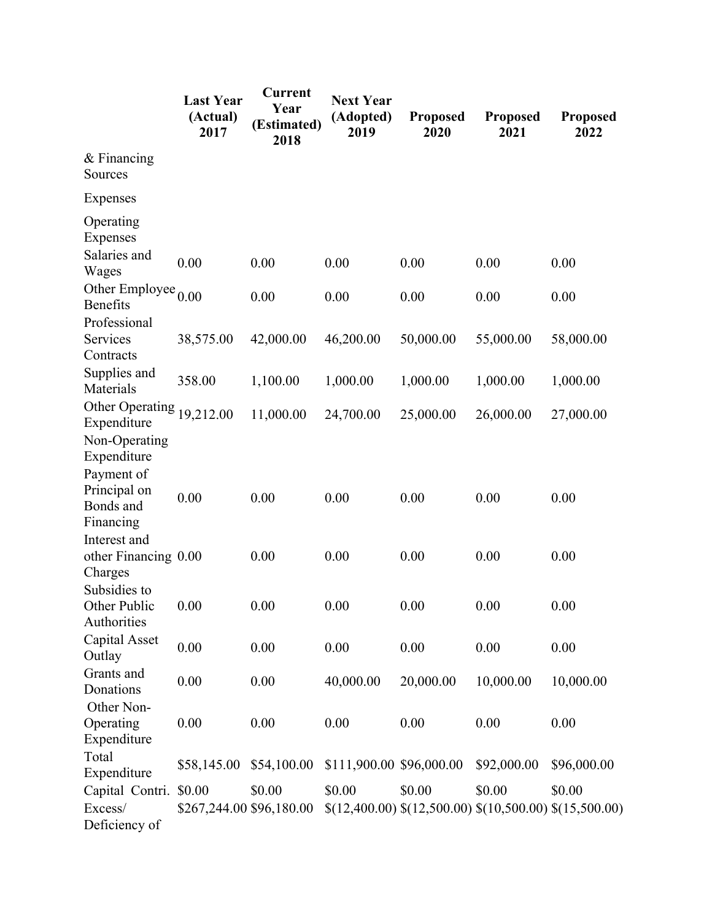|                                                                                      | <b>Last Year</b><br>(Actual)<br>2017 | Current<br>Year<br>(Estimated)<br>2018 | <b>Next Year</b><br>(Adopted)<br>2019 | <b>Proposed</b><br>2020                                         | <b>Proposed</b><br>2021 | <b>Proposed</b><br>2022 |
|--------------------------------------------------------------------------------------|--------------------------------------|----------------------------------------|---------------------------------------|-----------------------------------------------------------------|-------------------------|-------------------------|
| $&$ Financing<br>Sources                                                             |                                      |                                        |                                       |                                                                 |                         |                         |
| Expenses                                                                             |                                      |                                        |                                       |                                                                 |                         |                         |
| Operating<br>Expenses<br>Salaries and                                                | 0.00                                 | 0.00                                   | 0.00                                  | 0.00                                                            | 0.00                    | 0.00                    |
| Wages<br>Other Employee $_{0.00}$<br><b>Benefits</b>                                 |                                      | 0.00                                   | 0.00                                  | 0.00                                                            | 0.00                    | 0.00                    |
| Professional<br>Services<br>Contracts                                                | 38,575.00                            | 42,000.00                              | 46,200.00                             | 50,000.00                                                       | 55,000.00               | 58,000.00               |
| Supplies and<br>Materials                                                            | 358.00                               | 1,100.00                               | 1,000.00                              | 1,000.00                                                        | 1,000.00                | 1,000.00                |
| Other Operating<br>Expenditure                                                       | 19,212.00                            | 11,000.00                              | 24,700.00                             | 25,000.00                                                       | 26,000.00               | 27,000.00               |
| Non-Operating<br>Expenditure<br>Payment of<br>Principal on<br>Bonds and<br>Financing | 0.00                                 | 0.00                                   | 0.00                                  | 0.00                                                            | 0.00                    | 0.00                    |
| Interest and<br>other Financing 0.00<br>Charges                                      |                                      | 0.00                                   | 0.00                                  | 0.00                                                            | 0.00                    | 0.00                    |
| Subsidies to<br>Other Public<br>Authorities                                          | 0.00                                 | 0.00                                   | 0.00                                  | 0.00                                                            | 0.00                    | 0.00                    |
| Capital Asset<br>Outlay                                                              | 0.00                                 | 0.00                                   | 0.00                                  | 0.00                                                            | 0.00                    | 0.00                    |
| Grants and<br>Donations                                                              | 0.00                                 | 0.00                                   | 40,000.00                             | 20,000.00                                                       | 10,000.00               | 10,000.00               |
| Other Non-<br>Operating<br>Expenditure                                               | 0.00                                 | 0.00                                   | 0.00                                  | 0.00                                                            | 0.00                    | 0.00                    |
| Total<br>Expenditure                                                                 | \$58,145.00                          | \$54,100.00                            | \$111,900.00 \$96,000.00              |                                                                 | \$92,000.00             | \$96,000.00             |
| Capital Contri.<br>Excess/<br>Deficiency of                                          | \$0.00                               | \$0.00<br>\$267,244.00 \$96,180.00     | \$0.00                                | \$0.00<br>$$(12,400.00) $(12,500.00) $(10,500.00) $(15,500.00)$ | \$0.00                  | \$0.00                  |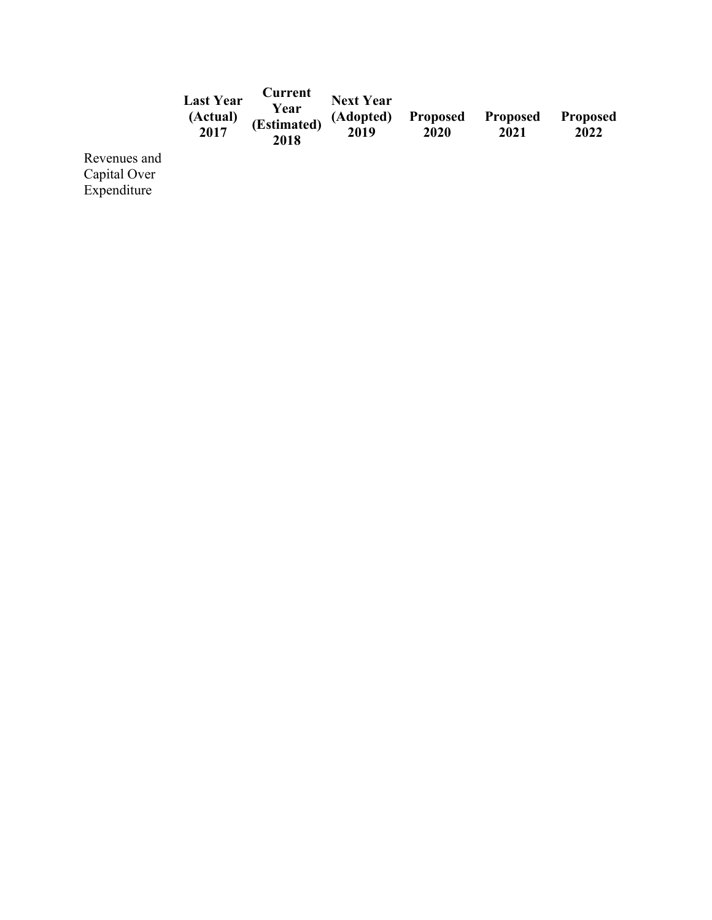|                                      | <b>Last Year</b><br>(Actual)<br>2017 | Current<br>Year<br>(Estimated)<br>2018 | <b>Next Year</b><br>(Adopted)<br>2019 | <b>Proposed</b><br>2020 | <b>Proposed</b><br>2021 | <b>Proposed</b><br>2022 |
|--------------------------------------|--------------------------------------|----------------------------------------|---------------------------------------|-------------------------|-------------------------|-------------------------|
| enues and<br>$\overline{1}$ $\Omega$ |                                      |                                        |                                       |                         |                         |                         |

Reven Capital Over Expenditure